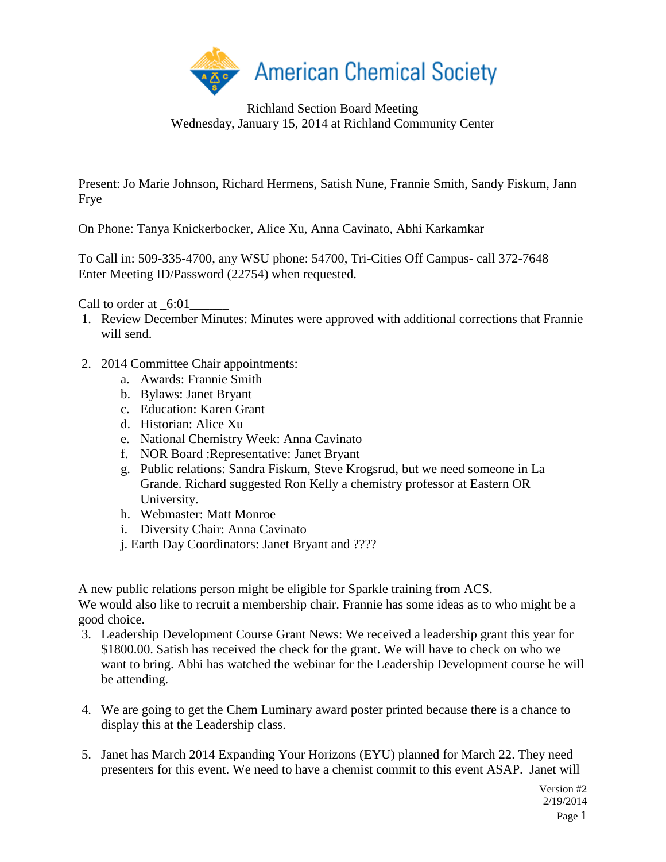

Richland Section Board Meeting Wednesday, January 15, 2014 at Richland Community Center

Present: Jo Marie Johnson, Richard Hermens, Satish Nune, Frannie Smith, Sandy Fiskum, Jann Frye

On Phone: Tanya Knickerbocker, Alice Xu, Anna Cavinato, Abhi Karkamkar

To Call in: 509-335-4700, any WSU phone: 54700, Tri-Cities Off Campus- call 372-7648 Enter Meeting ID/Password (22754) when requested.

Call to order at \_6:01\_

- 1. Review December Minutes: Minutes were approved with additional corrections that Frannie will send.
- 2. 2014 Committee Chair appointments:
	- a. Awards: Frannie Smith
	- b. Bylaws: Janet Bryant
	- c. Education: Karen Grant
	- d. Historian: Alice Xu
	- e. National Chemistry Week: Anna Cavinato
	- f. NOR Board :Representative: Janet Bryant
	- g. Public relations: Sandra Fiskum, Steve Krogsrud, but we need someone in La Grande. Richard suggested Ron Kelly a chemistry professor at Eastern OR University.
	- h. Webmaster: Matt Monroe
	- i. Diversity Chair: Anna Cavinato
	- j. Earth Day Coordinators: Janet Bryant and ????

A new public relations person might be eligible for Sparkle training from ACS. We would also like to recruit a membership chair. Frannie has some ideas as to who might be a good choice.

- 3. Leadership Development Course Grant News: We received a leadership grant this year for \$1800.00. Satish has received the check for the grant. We will have to check on who we want to bring. Abhi has watched the webinar for the Leadership Development course he will be attending.
- 4. We are going to get the Chem Luminary award poster printed because there is a chance to display this at the Leadership class.
- 5. Janet has March 2014 Expanding Your Horizons (EYU) planned for March 22. They need presenters for this event. We need to have a chemist commit to this event ASAP. Janet will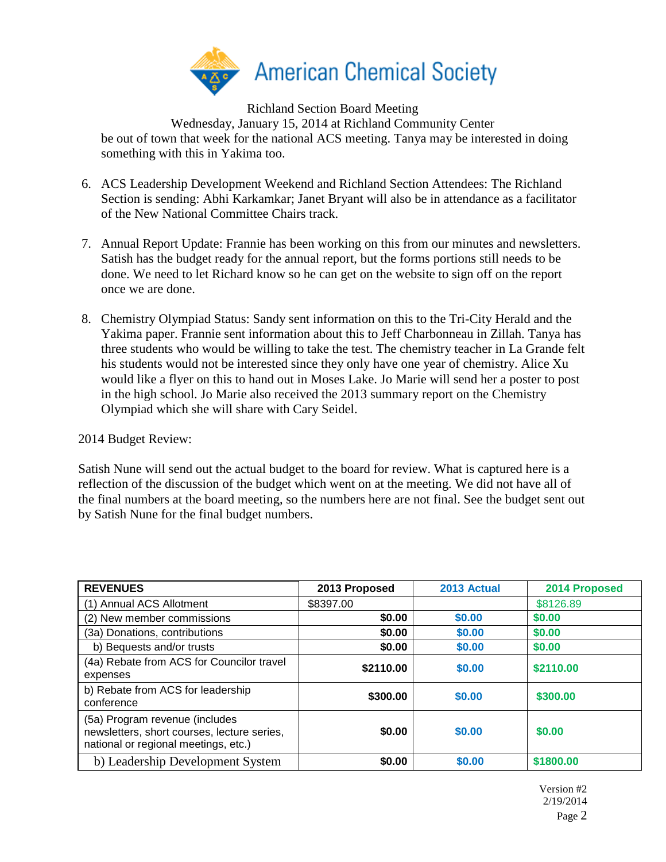

Richland Section Board Meeting

Wednesday, January 15, 2014 at Richland Community Center be out of town that week for the national ACS meeting. Tanya may be interested in doing something with this in Yakima too.

- 6. ACS Leadership Development Weekend and Richland Section Attendees: The Richland Section is sending: Abhi Karkamkar; Janet Bryant will also be in attendance as a facilitator of the New National Committee Chairs track.
- 7. Annual Report Update: Frannie has been working on this from our minutes and newsletters. Satish has the budget ready for the annual report, but the forms portions still needs to be done. We need to let Richard know so he can get on the website to sign off on the report once we are done.
- 8. Chemistry Olympiad Status: Sandy sent information on this to the Tri-City Herald and the Yakima paper. Frannie sent information about this to Jeff Charbonneau in Zillah. Tanya has three students who would be willing to take the test. The chemistry teacher in La Grande felt his students would not be interested since they only have one year of chemistry. Alice Xu would like a flyer on this to hand out in Moses Lake. Jo Marie will send her a poster to post in the high school. Jo Marie also received the 2013 summary report on the Chemistry Olympiad which she will share with Cary Seidel.

2014 Budget Review:

Satish Nune will send out the actual budget to the board for review. What is captured here is a reflection of the discussion of the budget which went on at the meeting. We did not have all of the final numbers at the board meeting, so the numbers here are not final. See the budget sent out by Satish Nune for the final budget numbers.

| <b>REVENUES</b>                                                                                                       | 2013 Proposed | 2013 Actual | 2014 Proposed |
|-----------------------------------------------------------------------------------------------------------------------|---------------|-------------|---------------|
| (1) Annual ACS Allotment                                                                                              | \$8397.00     |             | \$8126.89     |
| (2) New member commissions                                                                                            | \$0.00        | \$0.00      | \$0.00        |
| (3a) Donations, contributions                                                                                         | \$0.00        | \$0.00      | \$0.00        |
| b) Bequests and/or trusts                                                                                             | \$0.00        | \$0.00      | \$0.00        |
| (4a) Rebate from ACS for Councilor travel<br>expenses                                                                 | \$2110.00     | \$0.00      | \$2110.00     |
| b) Rebate from ACS for leadership<br>conference                                                                       | \$300,00      | \$0.00      | \$300.00      |
| (5a) Program revenue (includes<br>newsletters, short courses, lecture series,<br>national or regional meetings, etc.) | \$0.00        | \$0.00      | \$0.00        |
| b) Leadership Development System                                                                                      | \$0.00        | \$0.00      | \$1800.00     |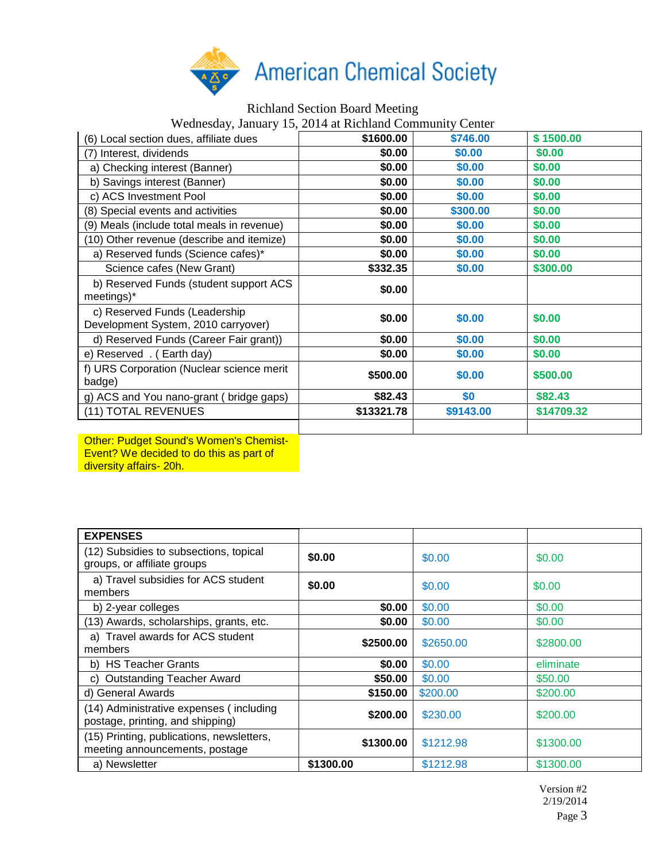

## Richland Section Board Meeting Wednesday, January 15, 2014 at Richland Community Center (6) Local section dues, affiliate dues **\$1600.00 \$746.00 \$ 1500.00** (7) Interest, dividends **\$0.00 \$0.00 \$0.00** a) Checking interest (Banner) **\$0.00 \$0.00 \$0.00 \$0.00 \$0.00**  b) Savings interest (Banner) **\$0.00 \$0.00 \$0.00**  c) ACS Investment Pool **\$0.00 \$0.00 \$0.00**  (8) Special events and activities **\$0.00 \$300.00 \$0.00**  (9) Meals (include total meals in revenue) **\$0.00 \$0.00 \$0.00**  (10) Other revenue (describe and itemize) **\$0.00 \$0.00 \$0.00**  a) Reserved funds (Science cafes)\* **\$0.00 \$0.00 \$0.00**  Science cafes (New Grant) **\$332.35 \$0.00** \$300.00 b) Reserved Funds (student support ACS b) Reserved Funds (student support ACS<br>meetings)\* **\$0.00**  c) Reserved Funds (Leadership C) Reserved Funds (Leadership<br>Development System, 2010 carryover) **\$0.00** \$0.00 **\$0.00** \$0.00 d) Reserved Funds (Career Fair grant)) **\$0.00 \$0.00 \$0.00**  e) Reserved . ( Earth day) **\$0.00 \$0.00 \$0.00**  f) URS Corporation (Nuclear science merit force Superation (Nacidal Science ment<br>badge) **\$500.00 \$500.00 \$500.00 \$500.00** g) ACS and You nano-grant ( bridge gaps) **\$82.43 \$0 \$82.43** (11) TOTAL REVENUES **\$13321.78 \$9143.00 \$14709.32**

Other: Pudget Sound's Women's Chemist-Event? We decided to do this as part of diversity affairs- 20h.

| <b>EXPENSES</b>                                                             |           |           |           |
|-----------------------------------------------------------------------------|-----------|-----------|-----------|
| (12) Subsidies to subsections, topical<br>groups, or affiliate groups       | \$0.00    | \$0.00    | \$0.00    |
| a) Travel subsidies for ACS student<br>members                              | \$0.00    | \$0.00    | \$0.00    |
| b) 2-year colleges                                                          | \$0.00    | \$0.00    | \$0.00    |
| (13) Awards, scholarships, grants, etc.                                     | \$0.00    | \$0.00    | \$0.00    |
| a) Travel awards for ACS student<br>members                                 | \$2500.00 | \$2650,00 | \$2800.00 |
| b) HS Teacher Grants                                                        | \$0.00    | \$0.00    | eliminate |
| <b>Outstanding Teacher Award</b><br>C)                                      | \$50.00   | \$0.00    | \$50.00   |
| d) General Awards                                                           | \$150.00  | \$200.00  | \$200.00  |
| (14) Administrative expenses (including<br>postage, printing, and shipping) | \$200.00  | \$230.00  | \$200.00  |
| (15) Printing, publications, newsletters,<br>meeting announcements, postage | \$1300.00 | \$1212.98 | \$1300.00 |
| a) Newsletter                                                               | \$1300.00 | \$1212.98 | \$1300.00 |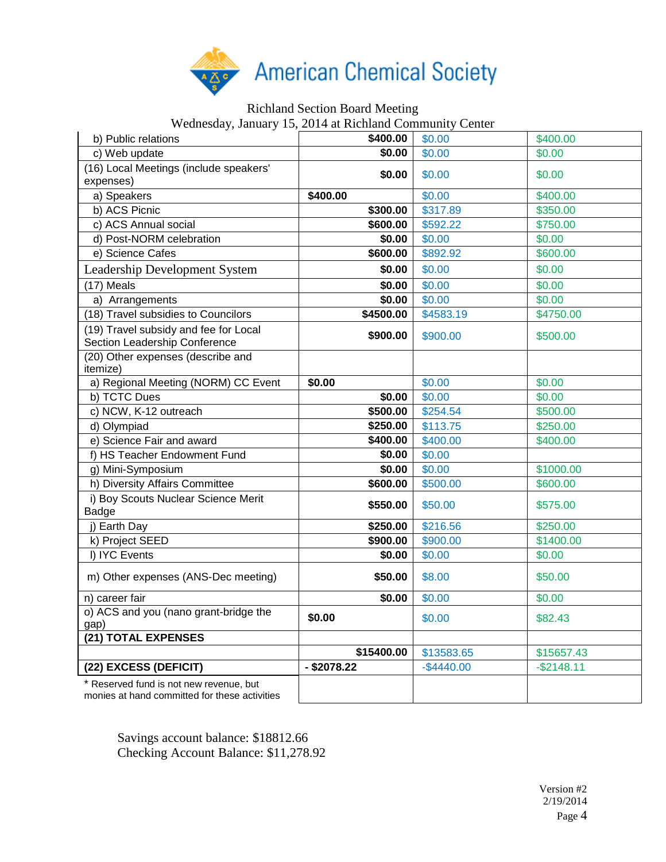

## Richland Section Board Meeting

Wednesday, January 15, 2014 at Richland Community Center

| $\mathcal{L}$ can be $\mathcal{L}$ , $\mathcal{L}$ and $\mathcal{L}$ , $\mathcal{L}$ is the set of $\mathcal{L}$ . The set of $\mathcal{L}$ |               |               |             |
|---------------------------------------------------------------------------------------------------------------------------------------------|---------------|---------------|-------------|
| b) Public relations                                                                                                                         | \$400.00      | \$0.00        | \$400.00    |
| c) Web update                                                                                                                               | \$0.00        | \$0.00        | \$0.00      |
| (16) Local Meetings (include speakers'<br>expenses)                                                                                         | \$0.00        | \$0.00        | \$0.00      |
| a) Speakers                                                                                                                                 | \$400.00      | \$0.00        | \$400.00    |
| b) ACS Picnic                                                                                                                               | \$300.00      | \$317.89      | \$350.00    |
| c) ACS Annual social                                                                                                                        | \$600.00      | \$592.22      | \$750.00    |
| d) Post-NORM celebration                                                                                                                    | \$0.00        | \$0.00        | \$0.00      |
| e) Science Cafes                                                                                                                            | \$600.00      | \$892.92      | \$600.00    |
| <b>Leadership Development System</b>                                                                                                        | \$0.00        | \$0.00        | \$0.00      |
| (17) Meals                                                                                                                                  | \$0.00        | \$0.00        | \$0.00      |
| a) Arrangements                                                                                                                             | \$0.00        | \$0.00        | \$0.00      |
| (18) Travel subsidies to Councilors                                                                                                         | \$4500.00     | \$4583.19     | \$4750.00   |
| (19) Travel subsidy and fee for Local<br>Section Leadership Conference                                                                      | \$900.00      | \$900.00      | \$500.00    |
| (20) Other expenses (describe and<br>itemize)                                                                                               |               |               |             |
| a) Regional Meeting (NORM) CC Event                                                                                                         | \$0.00        | \$0.00        | \$0.00      |
| b) TCTC Dues                                                                                                                                | \$0.00        | \$0.00        | \$0.00      |
| c) NCW, K-12 outreach                                                                                                                       | \$500.00      | \$254.54      | \$500.00    |
| d) Olympiad                                                                                                                                 | \$250.00      | \$113.75      | \$250.00    |
| e) Science Fair and award                                                                                                                   | \$400.00      | \$400.00      | \$400.00    |
| f) HS Teacher Endowment Fund                                                                                                                | \$0.00        | \$0.00        |             |
| g) Mini-Symposium                                                                                                                           | \$0.00        | \$0.00        | \$1000.00   |
| h) Diversity Affairs Committee                                                                                                              | \$600.00      | \$500.00      | \$600.00    |
| i) Boy Scouts Nuclear Science Merit<br>Badge                                                                                                | \$550.00      | \$50.00       | \$575.00    |
| j) Earth Day                                                                                                                                | \$250.00      | \$216.56      | \$250.00    |
| k) Project SEED                                                                                                                             | \$900.00      | \$900.00      | \$1400.00   |
| I) IYC Events                                                                                                                               | \$0.00        | \$0.00        | \$0.00      |
| m) Other expenses (ANS-Dec meeting)                                                                                                         | \$50.00       | \$8.00        | \$50.00     |
| n) career fair                                                                                                                              | \$0.00        | \$0.00        | \$0.00      |
| o) ACS and you (nano grant-bridge the<br>gap)                                                                                               | \$0.00        | \$0.00        | \$82.43     |
| (21) TOTAL EXPENSES                                                                                                                         |               |               |             |
|                                                                                                                                             | \$15400.00    | \$13583.65    | \$15657.43  |
| (22) EXCESS (DEFICIT)                                                                                                                       | $-$ \$2078.22 | $-$ \$4440.00 | $-$2148.11$ |
| * Reserved fund is not new revenue, but<br>monies at hand committed for these activities                                                    |               |               |             |

Savings account balance: \$18812.66 Checking Account Balance: \$11,278.92